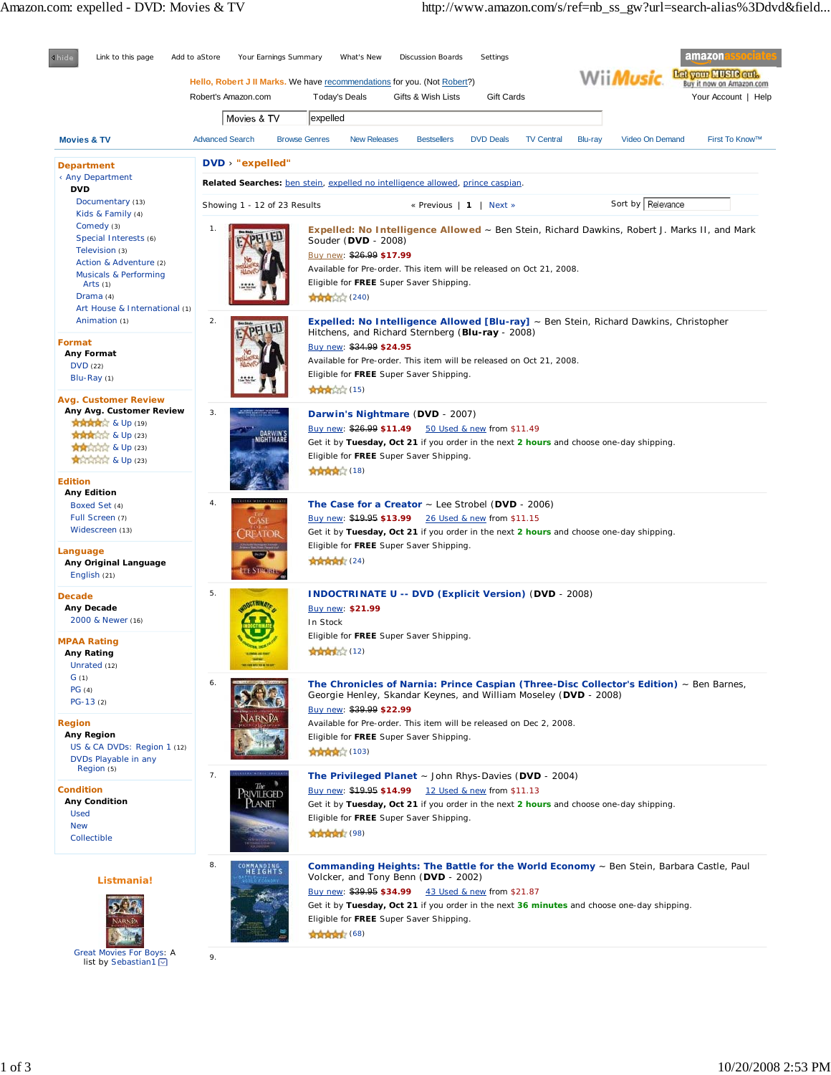

list by Sebastian1<sup>0</sup>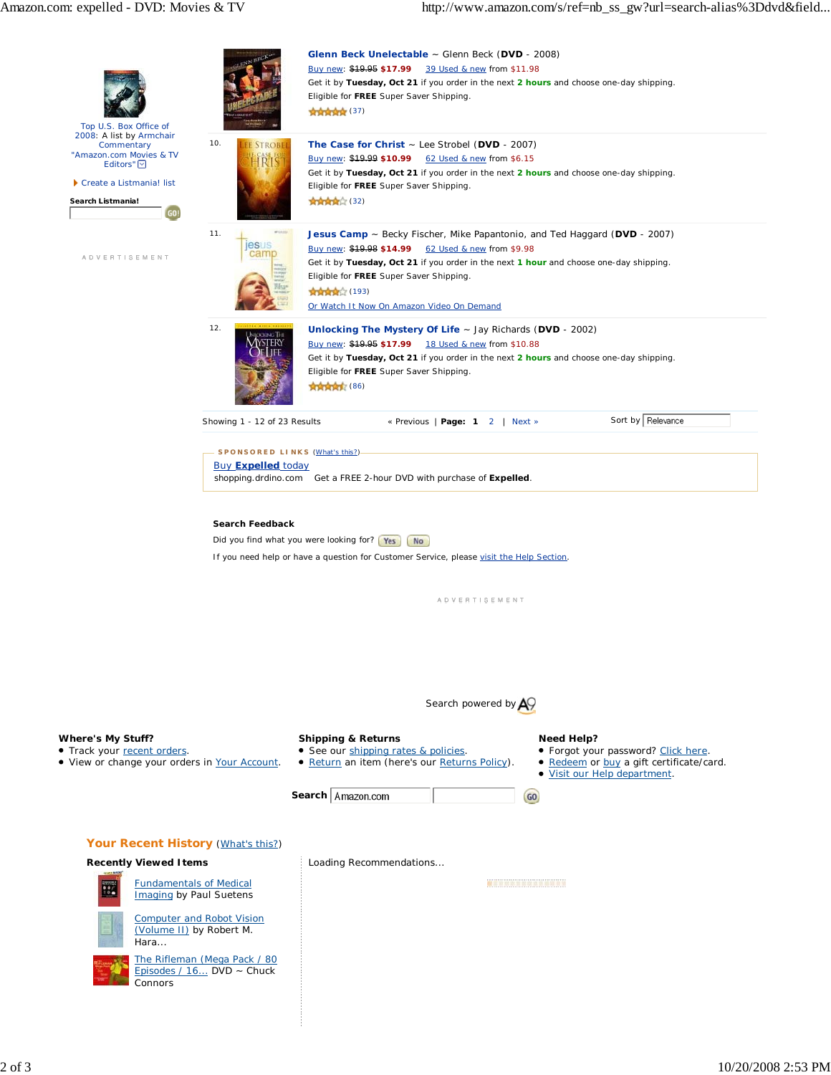